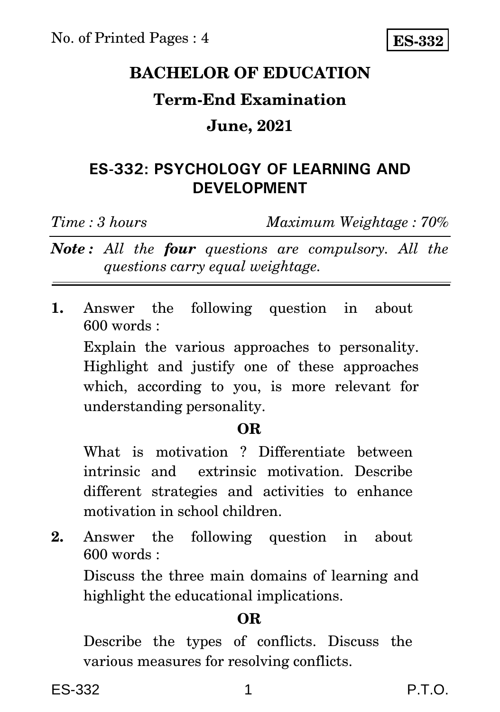# **BACHELOR OF EDUCATION**

## **Term-End Examination**

#### **June, 2021**

### **ES-332: PSYCHOLOGY OF LEARNING AND DEVELOPMENT**

*Time : 3 hours Maximum Weightage : 70%*

*Note : All the four questions are compulsory. All the questions carry equal weightage.*

**1.** Answer the following question in about 600 words :

Explain the various approaches to personality. Highlight and justify one of these approaches which, according to you, is more relevant for understanding personality.

#### **OR**

What is motivation ? Differentiate between intrinsic and extrinsic motivation. Describe different strategies and activities to enhance motivation in school children.

**2.** Answer the following question in about 600 words :

Discuss the three main domains of learning and highlight the educational implications.

### **OR**

Describe the types of conflicts. Discuss the various measures for resolving conflicts.

ES-332 1 P.T.O.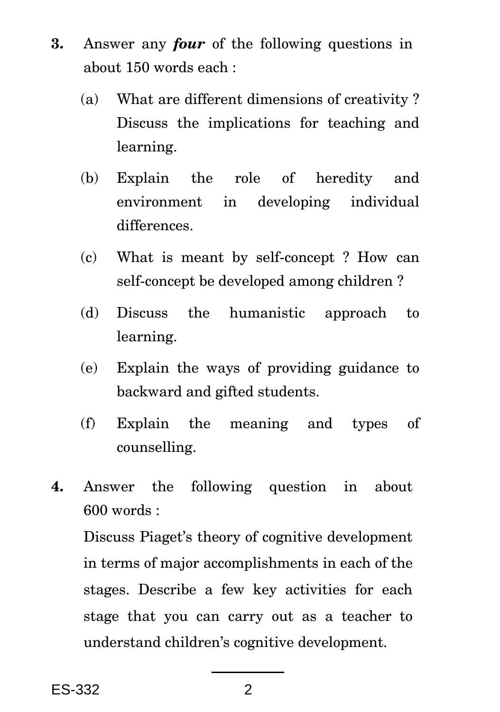- **3.** Answer any *four* of the following questions in about 150 words each :
	- (a) What are different dimensions of creativity ? Discuss the implications for teaching and learning.
	- (b) Explain the role of heredity and environment in developing individual differences.
	- (c) What is meant by self-concept ? How can self-concept be developed among children ?
	- (d) Discuss the humanistic approach to learning.
	- (e) Explain the ways of providing guidance to backward and gifted students.
	- (f) Explain the meaning and types of counselling.
- **4.** Answer the following question in about 600 words :

Discuss Piaget's theory of cognitive development in terms of major accomplishments in each of the stages. Describe a few key activities for each stage that you can carry out as a teacher to understand children's cognitive development.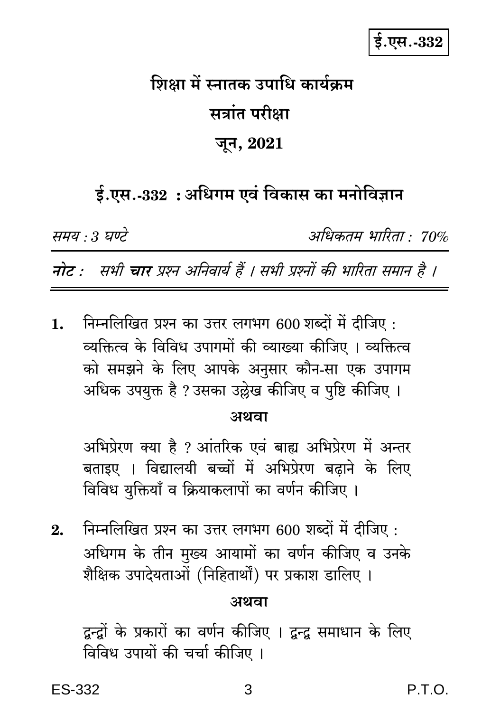# शिक्षा में स्नातक उपाधि कार्यकम सत्रांत परीक्षा जून, 2021

## ई.एस.-332 : अधिगम एवं विकास का मनोविज्ञान

समय : 3 घण्टे

अधिकतम भारिता : 70%

नोट : सभी चार प्रश्न अनिवार्य हैं । सभी प्रश्नों की भारिता समान है ।

निम्नलिखित प्रश्न का उत्तर लगभग 600 शब्दों में दीजिए :  $\mathbf{1}$ . व्यक्तित्व के विविध उपागमों की व्याख्या कीजिए । व्यक्तित्व को समझने के लिए आपके अनुसार कौन-सा एक उपागम अधिक उपयुक्त है ?उसका उल्लेख कीजिए व पुष्टि कीजिए ।

#### अथवा

अभिप्रेरण क्या है ? आंतरिक एवं बाह्य अभिप्रेरण में अन्तर बताइए । विद्यालयी बच्चों में अभिप्रेरण बढ़ाने के लिए विविध युक्तियाँ व क्रियाकलापों का वर्णन कीजिए ।

निम्नलिखित प्रश्न का उत्तर लगभग 600 शब्दों में दीजिए :  $9<sub>1</sub>$ अधिगम के तीन मुख्य आयामों का वर्णन कीजिए व उनके शैक्षिक उपादेयताओं (निहितार्थों) पर प्रकाश डालिए ।

#### अथवा

द्वन्द्रों के प्रकारों का वर्णन कीजिए । द्वन्द्व समाधान के लिए विविध उपायों की चर्चा कीजिए ।